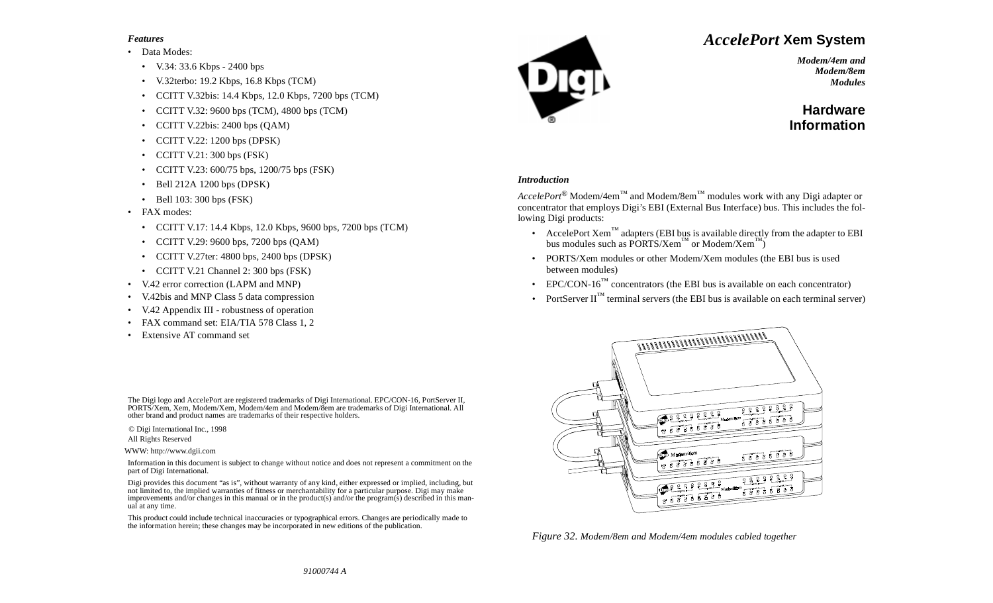#### *Features*

#### •Data Modes:

- V.34: 33.6 Kbps 2400 bps
- •V.32terbo: 19.2 Kbps, 16.8 Kbps (TCM)
- •CCITT V.32bis: 14.4 Kbps, 12.0 Kbps, 7200 bps (TCM)
- •CCITT V.32: 9600 bps (TCM), 4800 bps (TCM)
- •CCITT V.22bis: 2400 bps (QAM)
- •CCITT V.22: 1200 bps (DPSK)
- •CCITT V.21: 300 bps (FSK)
- •CCITT V.23: 600/75 bps, 1200/75 bps (FSK)
- •Bell 212A 1200 bps (DPSK)
- •Bell 103: 300 bps (FSK)
- • FAX modes:
	- CCITT V.17: 14.4 Kbps, 12.0 Kbps, 9600 bps, 7200 bps (TCM)
	- •CCITT V.29: 9600 bps, 7200 bps (QAM)
	- CCITT V.27ter: 4800 bps, 2400 bps (DPSK)
	- CCITT V.21 Channel 2: 300 bps (FSK)
- •V.42 error correction (LAPM and MNP)
- •V.42bis and MNP Class 5 data compression
- •V.42 Appendix III - robustness of operation
- •FAX command set: EIA/TIA 578 Class 1, 2
- •Extensive AT command set

The Digi logo and AccelePort are registered trademarks of Digi International. EPC/CON-16, PortServer II, PORTS/Xem, Xem, Modem/Xem, Modem/4em and Modem/8em are trademarks of Digi International. All other brand and product names are trademarks of their respective holders.

© Digi International Inc., 1998

All Rights Reserved

WWW: http://www.dgii.com

Information in this document is subject to change without notice and does not represent a commitment on the part of Digi International.

Digi provides this document "as is", without warranty of any kind, either expressed or implied, including, but not limited to, the implied warranties of fitness or merchantability for a particular purpose. Digi may make improvements and/or changes in this manual or in the product(s) and/or the program(s) described in this manual at any time.

This product could include technical inaccuracies or typographical errors. Changes are periodically made to the information herein; these changes may be incorporated in new editions of the publication.



# *AccelePort* **Xem System**

*Modem/4em andModem/8emModules*

## **HardwareInformation**

#### *Introduction*

*AccelePort*® Modem/4em™ and Modem/8em™ modules work with any Digi adapter or concentrator that employs Digi's EBI (External Bus Interface) bus. This includes the following Digi products:

- AccelePort Xem<sup>™</sup> adapters (EBI bus is available directly from the adapter to EBI bus modules such as  $\overline{PORTS/Xem}^{TM}$  or Modem/Xem<sup>™</sup>)
- PORTS/Xem modules or other Modem/Xem modules (the EBI bus is used between modules)
- EPC/CON-16<sup>™</sup> concentrators (the EBI bus is available on each concentrator)
- PortServer  $II<sup>TM</sup>$  terminal servers (the EBI bus is available on each terminal server)



*Figure 32. Modem/8em and Modem/4em modules cabled together*